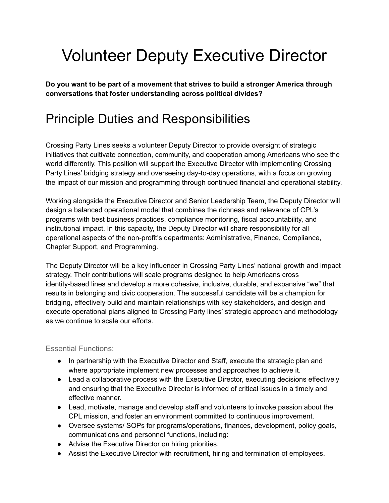# Volunteer Deputy Executive Director

**Do you want to be part of a movement that strives to build a stronger America through conversations that foster understanding across political divides?**

### Principle Duties and Responsibilities

Crossing Party Lines seeks a volunteer Deputy Director to provide oversight of strategic initiatives that cultivate connection, community, and cooperation among Americans who see the world differently. This position will support the Executive Director with implementing Crossing Party Lines' bridging strategy and overseeing day-to-day operations, with a focus on growing the impact of our mission and programming through continued financial and operational stability.

Working alongside the Executive Director and Senior Leadership Team, the Deputy Director will design a balanced operational model that combines the richness and relevance of CPL's programs with best business practices, compliance monitoring, fiscal accountability, and institutional impact. In this capacity, the Deputy Director will share responsibility for all operational aspects of the non-profit's departments: Administrative, Finance, Compliance, Chapter Support, and Programming.

The Deputy Director will be a key influencer in Crossing Party Lines' national growth and impact strategy. Their contributions will scale programs designed to help Americans cross identity-based lines and develop a more cohesive, inclusive, durable, and expansive "we" that results in belonging and civic cooperation. The successful candidate will be a champion for bridging, effectively build and maintain relationships with key stakeholders, and design and execute operational plans aligned to Crossing Party lines' strategic approach and methodology as we continue to scale our efforts.

#### Essential Functions:

- In partnership with the Executive Director and Staff, execute the strategic plan and where appropriate implement new processes and approaches to achieve it.
- Lead a collaborative process with the Executive Director, executing decisions effectively and ensuring that the Executive Director is informed of critical issues in a timely and effective manner.
- Lead, motivate, manage and develop staff and volunteers to invoke passion about the CPL mission, and foster an environment committed to continuous improvement.
- Oversee systems/ SOPs for programs/operations, finances, development, policy goals, communications and personnel functions, including:
- Advise the Executive Director on hiring priorities.
- Assist the Executive Director with recruitment, hiring and termination of employees.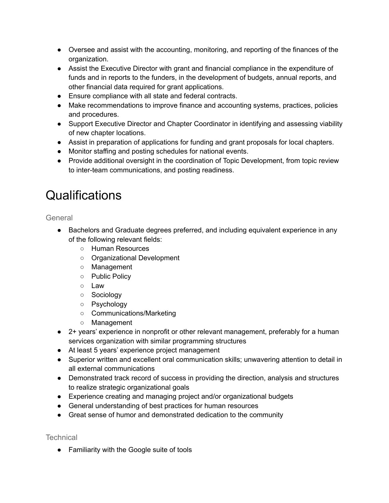- Oversee and assist with the accounting, monitoring, and reporting of the finances of the organization.
- Assist the Executive Director with grant and financial compliance in the expenditure of funds and in reports to the funders, in the development of budgets, annual reports, and other financial data required for grant applications.
- Ensure compliance with all state and federal contracts.
- Make recommendations to improve finance and accounting systems, practices, policies and procedures.
- Support Executive Director and Chapter Coordinator in identifying and assessing viability of new chapter locations.
- Assist in preparation of applications for funding and grant proposals for local chapters.
- Monitor staffing and posting schedules for national events.
- Provide additional oversight in the coordination of Topic Development, from topic review to inter-team communications, and posting readiness.

## **Qualifications**

**General** 

- Bachelors and Graduate degrees preferred, and including equivalent experience in any of the following relevant fields:
	- Human Resources
	- Organizational Development
	- Management
	- Public Policy
	- Law
	- Sociology
	- Psychology
	- Communications/Marketing
	- Management
- 2+ years' experience in nonprofit or other relevant management, preferably for a human services organization with similar programming structures
- At least 5 years' experience project management
- Superior written and excellent oral communication skills; unwavering attention to detail in all external communications
- Demonstrated track record of success in providing the direction, analysis and structures to realize strategic organizational goals
- Experience creating and managing project and/or organizational budgets
- General understanding of best practices for human resources
- Great sense of humor and demonstrated dedication to the community

**Technical** 

● Familiarity with the Google suite of tools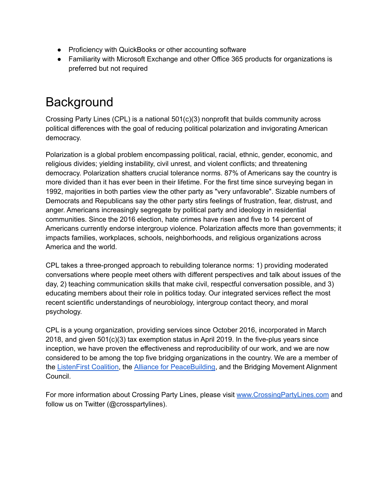- Proficiency with QuickBooks or other accounting software
- Familiarity with Microsoft Exchange and other Office 365 products for organizations is preferred but not required

# **Background**

Crossing Party Lines (CPL) is a national 501(c)(3) nonprofit that builds community across political differences with the goal of reducing political polarization and invigorating American democracy.

Polarization is a global problem encompassing political, racial, ethnic, gender, economic, and religious divides; yielding instability, civil unrest, and violent conflicts; and threatening democracy. Polarization shatters crucial tolerance norms. 87% of Americans say the country is more divided than it has ever been in their lifetime. For the first time since surveying began in 1992, majorities in both parties view the other party as "very unfavorable". Sizable numbers of Democrats and Republicans say the other party stirs feelings of frustration, fear, distrust, and anger. Americans increasingly segregate by political party and ideology in residential communities. Since the 2016 election, hate crimes have risen and five to 14 percent of Americans currently endorse intergroup violence. Polarization affects more than governments; it impacts families, workplaces, schools, neighborhoods, and religious organizations across America and the world.

CPL takes a three-pronged approach to rebuilding tolerance norms: 1) providing moderated conversations where people meet others with different perspectives and talk about issues of the day, 2) teaching communication skills that make civil, respectful conversation possible, and 3) educating members about their role in politics today. Our integrated services reflect the most recent scientific understandings of neurobiology, intergroup contact theory, and moral psychology.

CPL is a young organization, providing services since October 2016, incorporated in March 2018, and given 501(c)(3) tax exemption status in April 2019. In the five-plus years since inception, we have proven the effectiveness and reproducibility of our work, and we are now considered to be among the top five bridging organizations in the country. We are a member of the [ListenFirst](https://www.listenfirstproject.org/listen-first-coalition) Coalition, the Alliance for [PeaceBuilding](https://www.allianceforpeacebuilding.org/), and the Bridging Movement Alignment Council.

For more information about Crossing Party Lines, please visit [www.CrossingPartyLines.com](http://www.crossingpartylines.com) and follow us on Twitter (@crosspartylines).